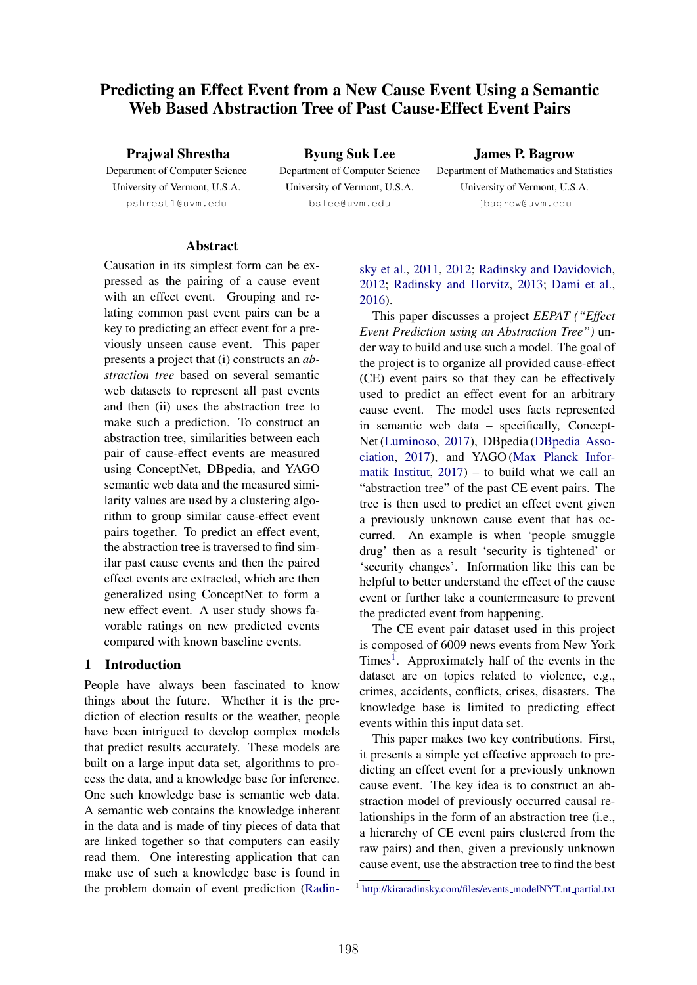# Predicting an Effect Event from a New Cause Event Using a Semantic Web Based Abstraction Tree of Past Cause-Effect Event Pairs

Prajwal Shrestha

Department of Computer Science University of Vermont, U.S.A. pshrest1@uvm.edu

Byung Suk Lee Department of Computer Science University of Vermont, U.S.A. bslee@uvm.edu

James P. Bagrow

Department of Mathematics and Statistics University of Vermont, U.S.A. jbagrow@uvm.edu

## Abstract

Causation in its simplest form can be expressed as the pairing of a cause event with an effect event. Grouping and relating common past event pairs can be a key to predicting an effect event for a previously unseen cause event. This paper presents a project that (i) constructs an *abstraction tree* based on several semantic web datasets to represent all past events and then (ii) uses the abstraction tree to make such a prediction. To construct an abstraction tree, similarities between each pair of cause-effect events are measured using ConceptNet, DBpedia, and YAGO semantic web data and the measured similarity values are used by a clustering algorithm to group similar cause-effect event pairs together. To predict an effect event, the abstraction tree is traversed to find similar past cause events and then the paired effect events are extracted, which are then generalized using ConceptNet to form a new effect event. A user study shows favorable ratings on new predicted events compared with known baseline events.

## 1 Introduction

People have always been fascinated to know things about the future. Whether it is the prediction of election results or the weather, people have been intrigued to develop complex models that predict results accurately. These models are built on a large input data set, algorithms to process the data, and a knowledge base for inference. One such knowledge base is semantic web data. A semantic web contains the knowledge inherent in the data and is made of tiny pieces of data that are linked together so that computers can easily read them. One interesting application that can make use of such a knowledge base is found in the problem domain of event prediction (Radin-

## sky et al., 2011, 2012; Radinsky and Davidovich, 2012; Radinsky and Horvitz, 2013; Dami et al., 2016).

This paper discusses a project *EEPAT ("Effect Event Prediction using an Abstraction Tree")* under way to build and use such a model. The goal of the project is to organize all provided cause-effect (CE) event pairs so that they can be effectively used to predict an effect event for an arbitrary cause event. The model uses facts represented in semantic web data – specifically, Concept-Net (Luminoso, 2017), DBpedia (DBpedia Association, 2017), and YAGO (Max Planck Informatik Institut,  $2017$  – to build what we call an "abstraction tree" of the past CE event pairs. The tree is then used to predict an effect event given a previously unknown cause event that has occurred. An example is when 'people smuggle drug' then as a result 'security is tightened' or 'security changes'. Information like this can be helpful to better understand the effect of the cause event or further take a countermeasure to prevent the predicted event from happening.

The CE event pair dataset used in this project is composed of 6009 news events from New York Times<sup>1</sup>. Approximately half of the events in the dataset are on topics related to violence, e.g., crimes, accidents, conflicts, crises, disasters. The knowledge base is limited to predicting effect events within this input data set.

This paper makes two key contributions. First, it presents a simple yet effective approach to predicting an effect event for a previously unknown cause event. The key idea is to construct an abstraction model of previously occurred causal relationships in the form of an abstraction tree (i.e., a hierarchy of CE event pairs clustered from the raw pairs) and then, given a previously unknown cause event, use the abstraction tree to find the best

<sup>&</sup>lt;sup>1</sup> http://kiraradinsky.com/files/events\_modelNYT.nt\_partial.txt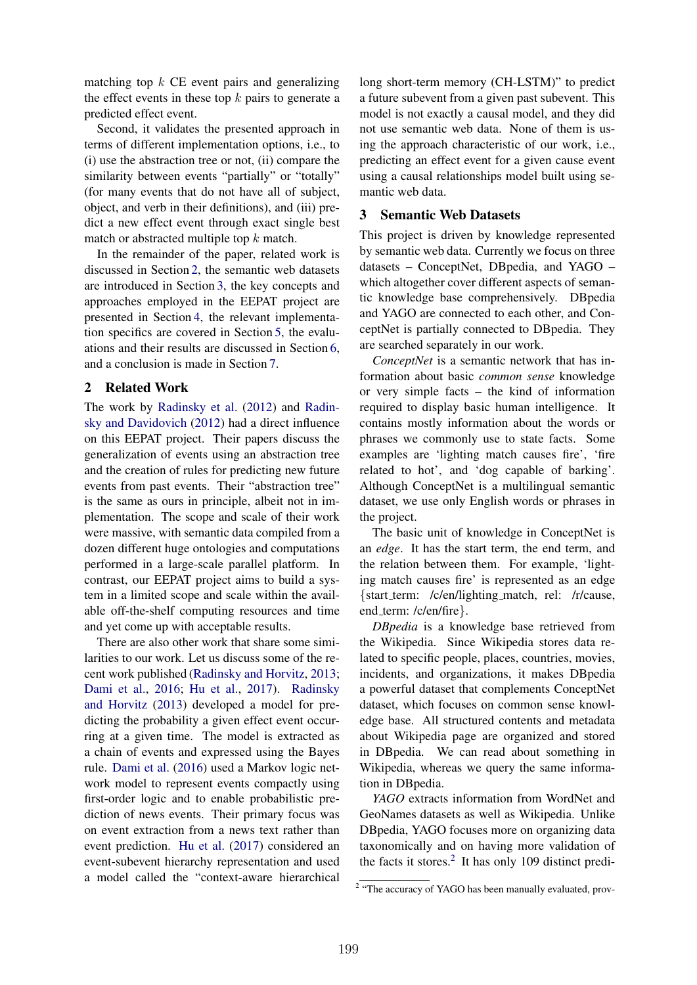matching top *k* CE event pairs and generalizing the effect events in these top *k* pairs to generate a predicted effect event.

Second, it validates the presented approach in terms of different implementation options, i.e., to (i) use the abstraction tree or not, (ii) compare the similarity between events "partially" or "totally" (for many events that do not have all of subject, object, and verb in their definitions), and (iii) predict a new effect event through exact single best match or abstracted multiple top *k* match.

In the remainder of the paper, related work is discussed in Section 2, the semantic web datasets are introduced in Section 3, the key concepts and approaches employed in the EEPAT project are presented in Section 4, the relevant implementation specifics are covered in Section 5, the evaluations and their results are discussed in Section 6, and a conclusion is made in Section 7.

## 2 Related Work

The work by Radinsky et al. (2012) and Radinsky and Davidovich (2012) had a direct influence on this EEPAT project. Their papers discuss the generalization of events using an abstraction tree and the creation of rules for predicting new future events from past events. Their "abstraction tree" is the same as ours in principle, albeit not in implementation. The scope and scale of their work were massive, with semantic data compiled from a dozen different huge ontologies and computations performed in a large-scale parallel platform. In contrast, our EEPAT project aims to build a system in a limited scope and scale within the available off-the-shelf computing resources and time and yet come up with acceptable results.

There are also other work that share some similarities to our work. Let us discuss some of the recent work published (Radinsky and Horvitz, 2013; Dami et al., 2016; Hu et al., 2017). Radinsky and Horvitz (2013) developed a model for predicting the probability a given effect event occurring at a given time. The model is extracted as a chain of events and expressed using the Bayes rule. Dami et al. (2016) used a Markov logic network model to represent events compactly using first-order logic and to enable probabilistic prediction of news events. Their primary focus was on event extraction from a news text rather than event prediction. Hu et al. (2017) considered an event-subevent hierarchy representation and used a model called the "context-aware hierarchical

long short-term memory (CH-LSTM)" to predict a future subevent from a given past subevent. This model is not exactly a causal model, and they did not use semantic web data. None of them is using the approach characteristic of our work, i.e., predicting an effect event for a given cause event using a causal relationships model built using semantic web data.

## 3 Semantic Web Datasets

This project is driven by knowledge represented by semantic web data. Currently we focus on three datasets – ConceptNet, DBpedia, and YAGO – which altogether cover different aspects of semantic knowledge base comprehensively. DBpedia and YAGO are connected to each other, and ConceptNet is partially connected to DBpedia. They are searched separately in our work.

*ConceptNet* is a semantic network that has information about basic *common sense* knowledge or very simple facts – the kind of information required to display basic human intelligence. It contains mostly information about the words or phrases we commonly use to state facts. Some examples are 'lighting match causes fire', 'fire related to hot', and 'dog capable of barking'. Although ConceptNet is a multilingual semantic dataset, we use only English words or phrases in the project.

The basic unit of knowledge in ConceptNet is an *edge*. It has the start term, the end term, and the relation between them. For example, 'lighting match causes fire' is represented as an edge *{*start term: /c/en/lighting match, rel: /r/cause, end term: /c/en/fire*}*.

*DBpedia* is a knowledge base retrieved from the Wikipedia. Since Wikipedia stores data related to specific people, places, countries, movies, incidents, and organizations, it makes DBpedia a powerful dataset that complements ConceptNet dataset, which focuses on common sense knowledge base. All structured contents and metadata about Wikipedia page are organized and stored in DBpedia. We can read about something in Wikipedia, whereas we query the same information in DBpedia.

*YAGO* extracts information from WordNet and GeoNames datasets as well as Wikipedia. Unlike DBpedia, YAGO focuses more on organizing data taxonomically and on having more validation of the facts it stores. $<sup>2</sup>$  It has only 109 distinct predi-</sup>

<sup>&</sup>lt;sup>2</sup> "The accuracy of YAGO has been manually evaluated, prov-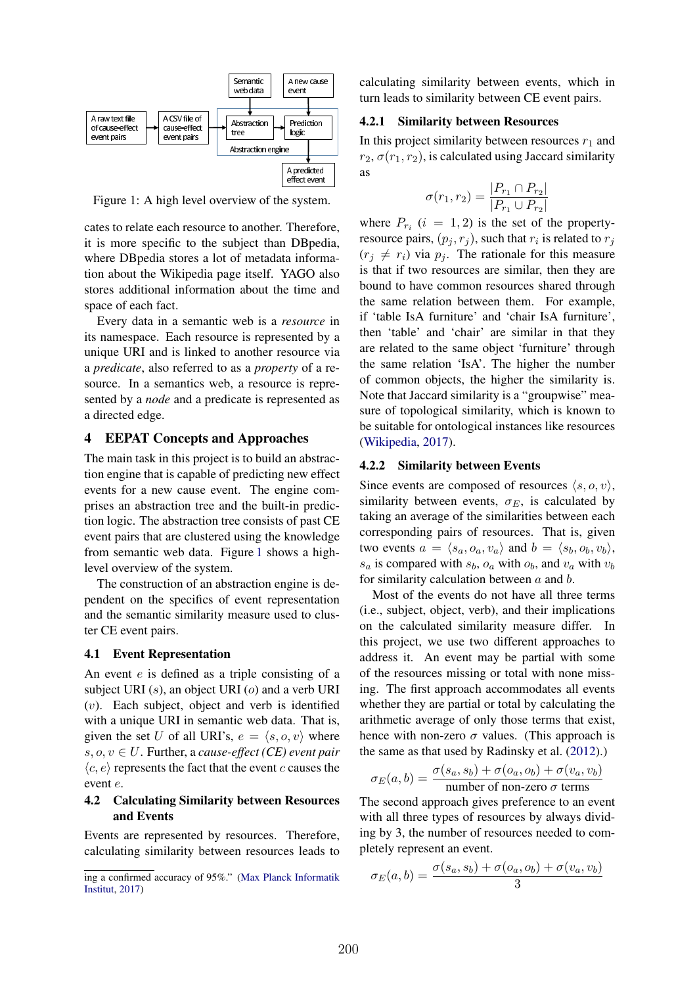

Figure 1: A high level overview of the system.

cates to relate each resource to another. Therefore, it is more specific to the subject than DBpedia, where DBpedia stores a lot of metadata information about the Wikipedia page itself. YAGO also stores additional information about the time and space of each fact.

Every data in a semantic web is a *resource* in its namespace. Each resource is represented by a unique URI and is linked to another resource via a *predicate*, also referred to as a *property* of a resource. In a semantics web, a resource is represented by a *node* and a predicate is represented as a directed edge.

### 4 EEPAT Concepts and Approaches

The main task in this project is to build an abstraction engine that is capable of predicting new effect events for a new cause event. The engine comprises an abstraction tree and the built-in prediction logic. The abstraction tree consists of past CE event pairs that are clustered using the knowledge from semantic web data. Figure 1 shows a highlevel overview of the system.

The construction of an abstraction engine is dependent on the specifics of event representation and the semantic similarity measure used to cluster CE event pairs.

#### 4.1 Event Representation

An event *e* is defined as a triple consisting of a subject URI (*s*), an object URI (*o*) and a verb URI (*v*). Each subject, object and verb is identified with a unique URI in semantic web data. That is, given the set *U* of all URI's,  $e = \langle s, o, v \rangle$  where  $s, o, v \in U$ . Further, a *cause-effect* (*CE*) event pair  $\langle c, e \rangle$  represents the fact that the event *c* causes the event *e*.

#### 4.2 Calculating Similarity between Resources and Events

Events are represented by resources. Therefore, calculating similarity between resources leads to calculating similarity between events, which in turn leads to similarity between CE event pairs.

#### 4.2.1 Similarity between Resources

In this project similarity between resources  $r_1$  and  $r_2$ ,  $\sigma(r_1, r_2)$ , is calculated using Jaccard similarity as

$$
\sigma(r_1, r_2) = \frac{|P_{r_1} \cap P_{r_2}|}{|P_{r_1} \cup P_{r_2}|}
$$

where  $P_{r_i}$  ( $i = 1, 2$ ) is the set of the propertyresource pairs,  $(p_i, r_j)$ , such that  $r_i$  is related to  $r_j$  $(r_i \neq r_i)$  via  $p_i$ . The rationale for this measure is that if two resources are similar, then they are bound to have common resources shared through the same relation between them. For example, if 'table IsA furniture' and 'chair IsA furniture', then 'table' and 'chair' are similar in that they are related to the same object 'furniture' through the same relation 'IsA'. The higher the number of common objects, the higher the similarity is. Note that Jaccard similarity is a "groupwise" measure of topological similarity, which is known to be suitable for ontological instances like resources (Wikipedia, 2017).

#### 4.2.2 Similarity between Events

Since events are composed of resources  $\langle s, o, v \rangle$ , similarity between events,  $\sigma_E$ , is calculated by taking an average of the similarities between each corresponding pairs of resources. That is, given two events  $a = \langle s_a, o_a, v_a \rangle$  and  $b = \langle s_b, o_b, v_b \rangle$ ,  $s_a$  is compared with  $s_b$ ,  $o_a$  with  $o_b$ , and  $v_a$  with  $v_b$ for similarity calculation between *a* and *b*.

Most of the events do not have all three terms (i.e., subject, object, verb), and their implications on the calculated similarity measure differ. In this project, we use two different approaches to address it. An event may be partial with some of the resources missing or total with none missing. The first approach accommodates all events whether they are partial or total by calculating the arithmetic average of only those terms that exist, hence with non-zero  $\sigma$  values. (This approach is the same as that used by Radinsky et al. (2012).)

$$
\sigma_E(a, b) = \frac{\sigma(s_a, s_b) + \sigma(o_a, o_b) + \sigma(v_a, v_b)}{\text{number of non-zero } \sigma \text{ terms}}
$$

The second approach gives preference to an event with all three types of resources by always dividing by 3, the number of resources needed to completely represent an event.

$$
\sigma_E(a,b) = \frac{\sigma(s_a, s_b) + \sigma(o_a, o_b) + \sigma(v_a, v_b)}{3}
$$

ing a confirmed accuracy of 95%." (Max Planck Informatik Institut, 2017)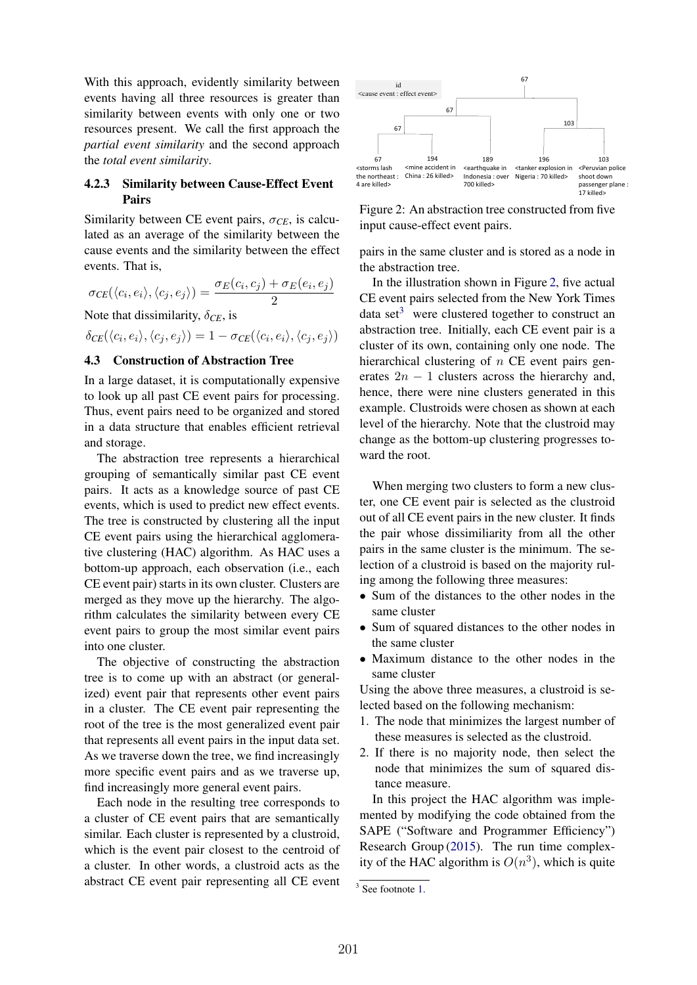With this approach, evidently similarity between events having all three resources is greater than similarity between events with only one or two resources present. We call the first approach the *partial event similarity* and the second approach the *total event similarity*.

### 4.2.3 Similarity between Cause-Effect Event Pairs

Similarity between CE event pairs,  $\sigma_{CE}$ , is calculated as an average of the similarity between the cause events and the similarity between the effect events. That is,

 $\sigma_{CE}(\langle c_i, e_i \rangle, \langle c_j, e_j \rangle) = \frac{\sigma_E(c_i, c_j) + \sigma_E(e_i, e_j)}{2}$ 

Note that dissimilarity,  $\delta_{CE}$ , is

 $\delta_{CE}(\langle c_i, e_i \rangle, \langle c_j, e_j \rangle) = 1 - \sigma_{CE}(\langle c_i, e_i \rangle, \langle c_j, e_j \rangle)$ 

## 4.3 Construction of Abstraction Tree

In a large dataset, it is computationally expensive to look up all past CE event pairs for processing. Thus, event pairs need to be organized and stored in a data structure that enables efficient retrieval and storage.

The abstraction tree represents a hierarchical grouping of semantically similar past CE event pairs. It acts as a knowledge source of past CE events, which is used to predict new effect events. The tree is constructed by clustering all the input CE event pairs using the hierarchical agglomerative clustering (HAC) algorithm. As HAC uses a bottom-up approach, each observation (i.e., each CE event pair) starts in its own cluster. Clusters are merged as they move up the hierarchy. The algorithm calculates the similarity between every CE event pairs to group the most similar event pairs into one cluster.

The objective of constructing the abstraction tree is to come up with an abstract (or generalized) event pair that represents other event pairs in a cluster. The CE event pair representing the root of the tree is the most generalized event pair that represents all event pairs in the input data set. As we traverse down the tree, we find increasingly more specific event pairs and as we traverse up, find increasingly more general event pairs.

Each node in the resulting tree corresponds to a cluster of CE event pairs that are semantically similar. Each cluster is represented by a clustroid, which is the event pair closest to the centroid of a cluster. In other words, a clustroid acts as the abstract CE event pair representing all CE event



Figure 2: An abstraction tree constructed from five input cause-effect event pairs.

pairs in the same cluster and is stored as a node in the abstraction tree.

In the illustration shown in Figure 2, five actual CE event pairs selected from the New York Times data set<sup>3</sup> were clustered together to construct an abstraction tree. Initially, each CE event pair is a cluster of its own, containing only one node. The hierarchical clustering of *n* CE event pairs generates  $2n - 1$  clusters across the hierarchy and, hence, there were nine clusters generated in this example. Clustroids were chosen as shown at each level of the hierarchy. Note that the clustroid may change as the bottom-up clustering progresses toward the root.

When merging two clusters to form a new cluster, one CE event pair is selected as the clustroid out of all CE event pairs in the new cluster. It finds the pair whose dissimiliarity from all the other pairs in the same cluster is the minimum. The selection of a clustroid is based on the majority ruling among the following three measures:

- Sum of the distances to the other nodes in the same cluster
- *•* Sum of squared distances to the other nodes in the same cluster
- *•* Maximum distance to the other nodes in the same cluster

Using the above three measures, a clustroid is selected based on the following mechanism:

- 1. The node that minimizes the largest number of these measures is selected as the clustroid.
- 2. If there is no majority node, then select the node that minimizes the sum of squared distance measure.

In this project the HAC algorithm was implemented by modifying the code obtained from the SAPE ("Software and Programmer Efficiency") Research Group (2015). The run time complexity of the HAC algorithm is  $O(n^3)$ , which is quite

 $3$  See footnote 1.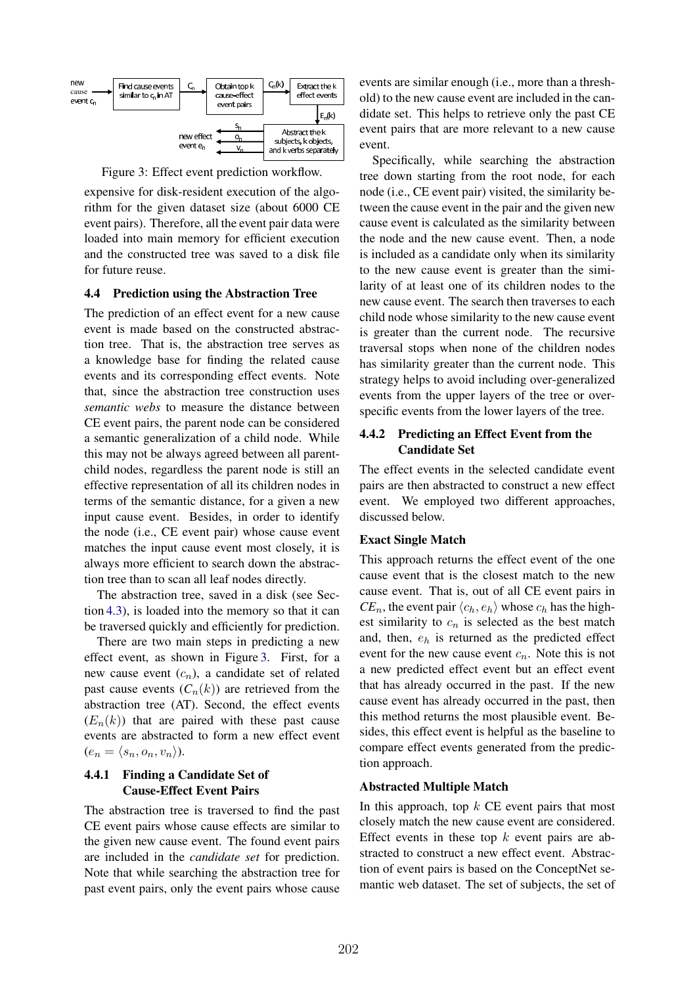

Figure 3: Effect event prediction workflow.

expensive for disk-resident execution of the algorithm for the given dataset size (about 6000 CE event pairs). Therefore, all the event pair data were loaded into main memory for efficient execution and the constructed tree was saved to a disk file for future reuse.

#### 4.4 Prediction using the Abstraction Tree

The prediction of an effect event for a new cause event is made based on the constructed abstraction tree. That is, the abstraction tree serves as a knowledge base for finding the related cause events and its corresponding effect events. Note that, since the abstraction tree construction uses *semantic webs* to measure the distance between CE event pairs, the parent node can be considered a semantic generalization of a child node. While this may not be always agreed between all parentchild nodes, regardless the parent node is still an effective representation of all its children nodes in terms of the semantic distance, for a given a new input cause event. Besides, in order to identify the node (i.e., CE event pair) whose cause event matches the input cause event most closely, it is always more efficient to search down the abstraction tree than to scan all leaf nodes directly.

The abstraction tree, saved in a disk (see Section 4.3), is loaded into the memory so that it can be traversed quickly and efficiently for prediction.

There are two main steps in predicting a new effect event, as shown in Figure 3. First, for a new cause event (*cn*), a candidate set of related past cause events  $(C_n(k))$  are retrieved from the abstraction tree (AT). Second, the effect events  $(E_n(k))$  that are paired with these past cause events are abstracted to form a new effect event  $(e_n = \langle s_n, o_n, v_n \rangle).$ 

## 4.4.1 Finding a Candidate Set of Cause-Effect Event Pairs

The abstraction tree is traversed to find the past CE event pairs whose cause effects are similar to the given new cause event. The found event pairs are included in the *candidate set* for prediction. Note that while searching the abstraction tree for past event pairs, only the event pairs whose cause

events are similar enough (i.e., more than a threshold) to the new cause event are included in the candidate set. This helps to retrieve only the past CE event pairs that are more relevant to a new cause event.

Specifically, while searching the abstraction tree down starting from the root node, for each node (i.e., CE event pair) visited, the similarity between the cause event in the pair and the given new cause event is calculated as the similarity between the node and the new cause event. Then, a node is included as a candidate only when its similarity to the new cause event is greater than the similarity of at least one of its children nodes to the new cause event. The search then traverses to each child node whose similarity to the new cause event is greater than the current node. The recursive traversal stops when none of the children nodes has similarity greater than the current node. This strategy helps to avoid including over-generalized events from the upper layers of the tree or overspecific events from the lower layers of the tree.

## 4.4.2 Predicting an Effect Event from the Candidate Set

The effect events in the selected candidate event pairs are then abstracted to construct a new effect event. We employed two different approaches, discussed below.

#### Exact Single Match

This approach returns the effect event of the one cause event that is the closest match to the new cause event. That is, out of all CE event pairs in  $CE_n$ , the event pair  $\langle c_h, e_h \rangle$  whose  $c_h$  has the highest similarity to  $c_n$  is selected as the best match and, then, *e<sup>h</sup>* is returned as the predicted effect event for the new cause event *cn*. Note this is not a new predicted effect event but an effect event that has already occurred in the past. If the new cause event has already occurred in the past, then this method returns the most plausible event. Besides, this effect event is helpful as the baseline to compare effect events generated from the prediction approach.

#### Abstracted Multiple Match

In this approach, top *k* CE event pairs that most closely match the new cause event are considered. Effect events in these top *k* event pairs are abstracted to construct a new effect event. Abstraction of event pairs is based on the ConceptNet semantic web dataset. The set of subjects, the set of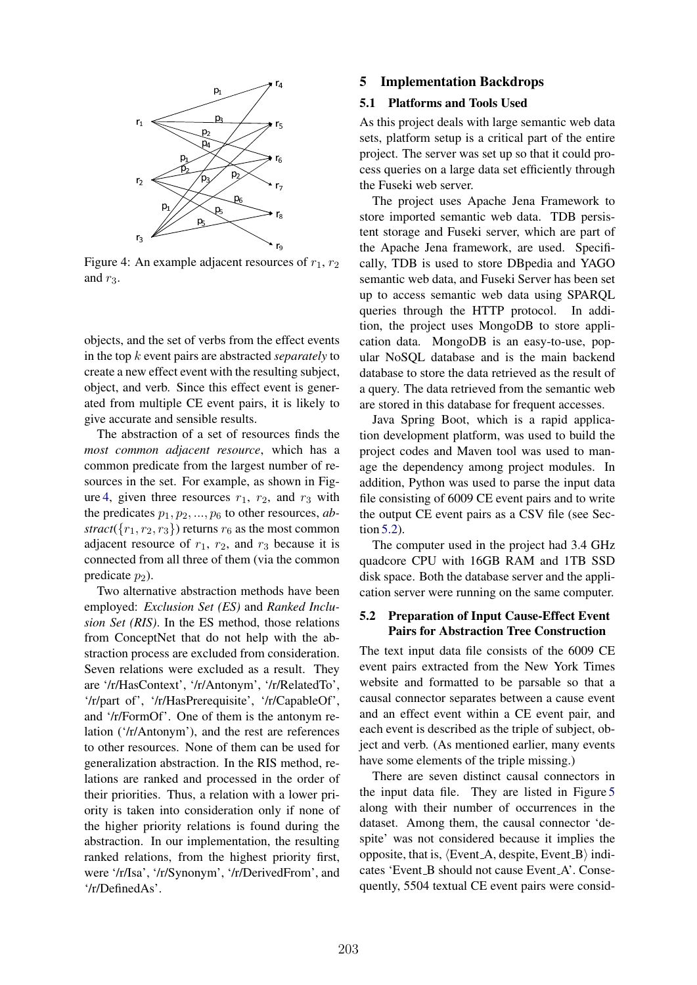

Figure 4: An example adjacent resources of  $r_1$ ,  $r_2$ and  $r_3$ .

objects, and the set of verbs from the effect events in the top *k* event pairs are abstracted *separately* to create a new effect event with the resulting subject, object, and verb. Since this effect event is generated from multiple CE event pairs, it is likely to give accurate and sensible results.

The abstraction of a set of resources finds the *most common adjacent resource*, which has a common predicate from the largest number of resources in the set. For example, as shown in Figure 4, given three resources  $r_1$ ,  $r_2$ , and  $r_3$  with the predicates *p*1*, p*2*, ..., p*<sup>6</sup> to other resources, *abstract*( $\{r_1, r_2, r_3\}$ ) returns  $r_6$  as the most common adjacent resource of  $r_1$ ,  $r_2$ , and  $r_3$  because it is connected from all three of them (via the common predicate  $p_2$ ).

Two alternative abstraction methods have been employed: *Exclusion Set (ES)* and *Ranked Inclusion Set (RIS)*. In the ES method, those relations from ConceptNet that do not help with the abstraction process are excluded from consideration. Seven relations were excluded as a result. They are '/r/HasContext', '/r/Antonym', '/r/RelatedTo', '/r/part of', '/r/HasPrerequisite', '/r/CapableOf', and '/r/FormOf'. One of them is the antonym relation ('/r/Antonym'), and the rest are references to other resources. None of them can be used for generalization abstraction. In the RIS method, relations are ranked and processed in the order of their priorities. Thus, a relation with a lower priority is taken into consideration only if none of the higher priority relations is found during the abstraction. In our implementation, the resulting ranked relations, from the highest priority first, were '/r/Isa', '/r/Synonym', '/r/DerivedFrom', and '/r/DefinedAs'.

#### 5 Implementation Backdrops

#### 5.1 Platforms and Tools Used

As this project deals with large semantic web data sets, platform setup is a critical part of the entire project. The server was set up so that it could process queries on a large data set efficiently through the Fuseki web server.

The project uses Apache Jena Framework to store imported semantic web data. TDB persistent storage and Fuseki server, which are part of the Apache Jena framework, are used. Specifically, TDB is used to store DBpedia and YAGO semantic web data, and Fuseki Server has been set up to access semantic web data using SPARQL queries through the HTTP protocol. In addition, the project uses MongoDB to store application data. MongoDB is an easy-to-use, popular NoSQL database and is the main backend database to store the data retrieved as the result of a query. The data retrieved from the semantic web are stored in this database for frequent accesses.

Java Spring Boot, which is a rapid application development platform, was used to build the project codes and Maven tool was used to manage the dependency among project modules. In addition, Python was used to parse the input data file consisting of 6009 CE event pairs and to write the output CE event pairs as a CSV file (see Section 5.2).

The computer used in the project had 3.4 GHz quadcore CPU with 16GB RAM and 1TB SSD disk space. Both the database server and the application server were running on the same computer.

#### 5.2 Preparation of Input Cause-Effect Event Pairs for Abstraction Tree Construction

The text input data file consists of the 6009 CE event pairs extracted from the New York Times website and formatted to be parsable so that a causal connector separates between a cause event and an effect event within a CE event pair, and each event is described as the triple of subject, object and verb. (As mentioned earlier, many events have some elements of the triple missing.)

There are seven distinct causal connectors in the input data file. They are listed in Figure 5 along with their number of occurrences in the dataset. Among them, the causal connector 'despite' was not considered because it implies the opposite, that is,  $\langle$  Event A, despite, Event B $\rangle$  indicates 'Event\_B should not cause Event\_A'. Consequently, 5504 textual CE event pairs were consid-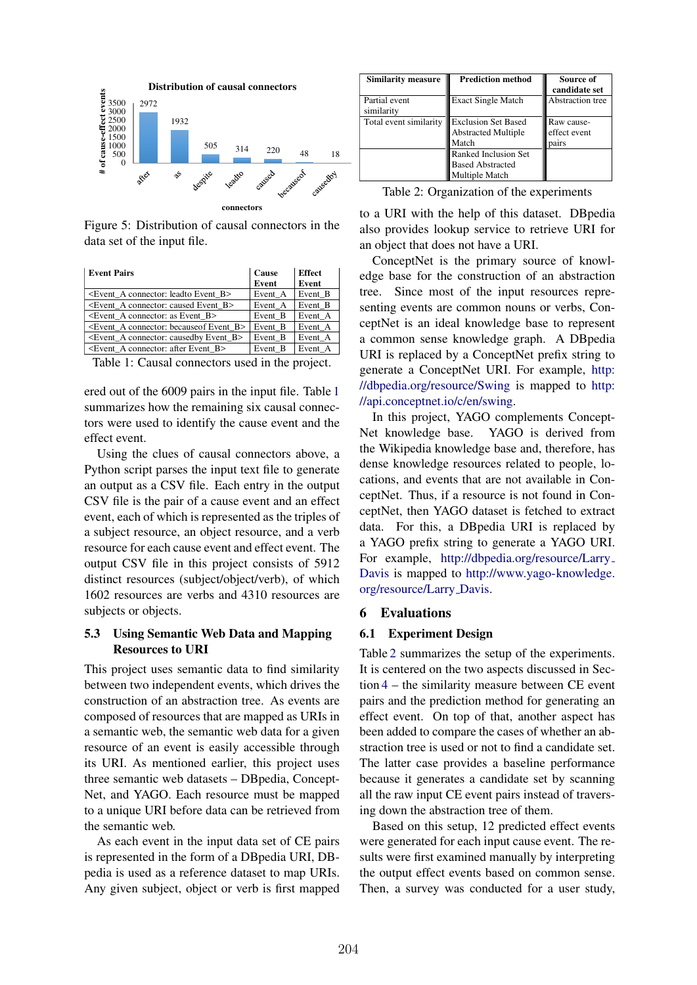

Figure 5: Distribution of causal connectors in the data set of the input file.

| <b>Event Pairs</b>                                                | Cause   | <b>Effect</b> |
|-------------------------------------------------------------------|---------|---------------|
|                                                                   | Event   | Event         |
| <event a="" b="" connector:="" event="" leadto=""></event>        | Event A | Event B       |
| <event a="" b="" caused="" connector:="" event=""></event>        | Event A | Event B       |
| <event a="" as="" b="" connector:="" event=""></event>            | Event B | Event A       |
| <event a="" b="" because="" connector:="" event="" of=""></event> | Event B | Event A       |
| $\leq$ Event A connector: caused by Event B $>$                   | Event B | Event A       |
| $\leq$ Event A connector: after Event B $>$                       | Event_B | Event A       |

Table 1: Causal connectors used in the project.

ered out of the 6009 pairs in the input file. Table 1 summarizes how the remaining six causal connectors were used to identify the cause event and the effect event.

Using the clues of causal connectors above, a Python script parses the input text file to generate an output as a CSV file. Each entry in the output CSV file is the pair of a cause event and an effect event, each of which is represented as the triples of a subject resource, an object resource, and a verb resource for each cause event and effect event. The output CSV file in this project consists of 5912 distinct resources (subject/object/verb), of which 1602 resources are verbs and 4310 resources are subjects or objects.

### 5.3 Using Semantic Web Data and Mapping Resources to URI

This project uses semantic data to find similarity between two independent events, which drives the construction of an abstraction tree. As events are composed of resources that are mapped as URIs in a semantic web, the semantic web data for a given resource of an event is easily accessible through its URI. As mentioned earlier, this project uses three semantic web datasets – DBpedia, Concept-Net, and YAGO. Each resource must be mapped to a unique URI before data can be retrieved from the semantic web.

As each event in the input data set of CE pairs is represented in the form of a DBpedia URI, DBpedia is used as a reference dataset to map URIs. Any given subject, object or verb is first mapped

| Similarity measure          | <b>Prediction method</b>                                                                                                               | Source of<br>candidate set          |
|-----------------------------|----------------------------------------------------------------------------------------------------------------------------------------|-------------------------------------|
| Partial event<br>similarity | <b>Exact Single Match</b>                                                                                                              | Abstraction tree                    |
| Total event similarity      | <b>Exclusion Set Based</b><br><b>Abstracted Multiple</b><br>Match<br>Ranked Inclusion Set<br><b>Based Abstracted</b><br>Multiple Match | Raw cause-<br>effect event<br>pairs |

Table 2: Organization of the experiments

to a URI with the help of this dataset. DBpedia also provides lookup service to retrieve URI for an object that does not have a URI.

ConceptNet is the primary source of knowledge base for the construction of an abstraction tree. Since most of the input resources representing events are common nouns or verbs, ConceptNet is an ideal knowledge base to represent a common sense knowledge graph. A DBpedia URI is replaced by a ConceptNet prefix string to generate a ConceptNet URI. For example, http: //dbpedia.org/resource/Swing is mapped to http: //api.conceptnet.io/c/en/swing.

In this project, YAGO complements Concept-Net knowledge base. YAGO is derived from the Wikipedia knowledge base and, therefore, has dense knowledge resources related to people, locations, and events that are not available in ConceptNet. Thus, if a resource is not found in ConceptNet, then YAGO dataset is fetched to extract data. For this, a DBpedia URI is replaced by a YAGO prefix string to generate a YAGO URI. For example, http://dbpedia.org/resource/Larry Davis is mapped to http://www.yago-knowledge. org/resource/Larry Davis.

#### 6 Evaluations

### 6.1 Experiment Design

Table 2 summarizes the setup of the experiments. It is centered on the two aspects discussed in Section 4 – the similarity measure between CE event pairs and the prediction method for generating an effect event. On top of that, another aspect has been added to compare the cases of whether an abstraction tree is used or not to find a candidate set. The latter case provides a baseline performance because it generates a candidate set by scanning all the raw input CE event pairs instead of traversing down the abstraction tree of them.

Based on this setup, 12 predicted effect events were generated for each input cause event. The results were first examined manually by interpreting the output effect events based on common sense. Then, a survey was conducted for a user study,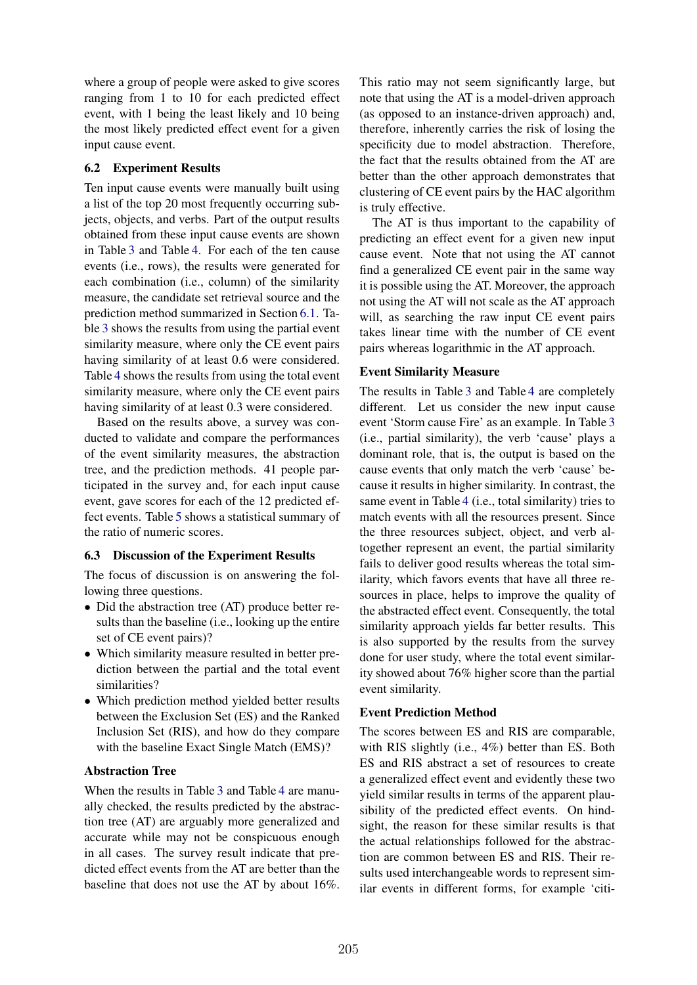where a group of people were asked to give scores ranging from 1 to 10 for each predicted effect event, with 1 being the least likely and 10 being the most likely predicted effect event for a given input cause event.

## 6.2 Experiment Results

Ten input cause events were manually built using a list of the top 20 most frequently occurring subjects, objects, and verbs. Part of the output results obtained from these input cause events are shown in Table 3 and Table 4. For each of the ten cause events (i.e., rows), the results were generated for each combination (i.e., column) of the similarity measure, the candidate set retrieval source and the prediction method summarized in Section 6.1. Table 3 shows the results from using the partial event similarity measure, where only the CE event pairs having similarity of at least 0.6 were considered. Table 4 shows the results from using the total event similarity measure, where only the CE event pairs having similarity of at least 0.3 were considered.

Based on the results above, a survey was conducted to validate and compare the performances of the event similarity measures, the abstraction tree, and the prediction methods. 41 people participated in the survey and, for each input cause event, gave scores for each of the 12 predicted effect events. Table 5 shows a statistical summary of the ratio of numeric scores.

## 6.3 Discussion of the Experiment Results

The focus of discussion is on answering the following three questions.

- Did the abstraction tree (AT) produce better results than the baseline (i.e., looking up the entire set of CE event pairs)?
- Which similarity measure resulted in better prediction between the partial and the total event similarities?
- *•* Which prediction method yielded better results between the Exclusion Set (ES) and the Ranked Inclusion Set (RIS), and how do they compare with the baseline Exact Single Match (EMS)?

## Abstraction Tree

When the results in Table 3 and Table 4 are manually checked, the results predicted by the abstraction tree (AT) are arguably more generalized and accurate while may not be conspicuous enough in all cases. The survey result indicate that predicted effect events from the AT are better than the baseline that does not use the AT by about 16%.

This ratio may not seem significantly large, but note that using the AT is a model-driven approach (as opposed to an instance-driven approach) and, therefore, inherently carries the risk of losing the specificity due to model abstraction. Therefore, the fact that the results obtained from the AT are better than the other approach demonstrates that clustering of CE event pairs by the HAC algorithm is truly effective.

The AT is thus important to the capability of predicting an effect event for a given new input cause event. Note that not using the AT cannot find a generalized CE event pair in the same way it is possible using the AT. Moreover, the approach not using the AT will not scale as the AT approach will, as searching the raw input CE event pairs takes linear time with the number of CE event pairs whereas logarithmic in the AT approach.

## Event Similarity Measure

The results in Table 3 and Table 4 are completely different. Let us consider the new input cause event 'Storm cause Fire' as an example. In Table 3 (i.e., partial similarity), the verb 'cause' plays a dominant role, that is, the output is based on the cause events that only match the verb 'cause' because it results in higher similarity. In contrast, the same event in Table 4 (i.e., total similarity) tries to match events with all the resources present. Since the three resources subject, object, and verb altogether represent an event, the partial similarity fails to deliver good results whereas the total similarity, which favors events that have all three resources in place, helps to improve the quality of the abstracted effect event. Consequently, the total similarity approach yields far better results. This is also supported by the results from the survey done for user study, where the total event similarity showed about 76% higher score than the partial event similarity.

## Event Prediction Method

The scores between ES and RIS are comparable, with RIS slightly (i.e., 4%) better than ES. Both ES and RIS abstract a set of resources to create a generalized effect event and evidently these two yield similar results in terms of the apparent plausibility of the predicted effect events. On hindsight, the reason for these similar results is that the actual relationships followed for the abstraction are common between ES and RIS. Their results used interchangeable words to represent similar events in different forms, for example 'citi-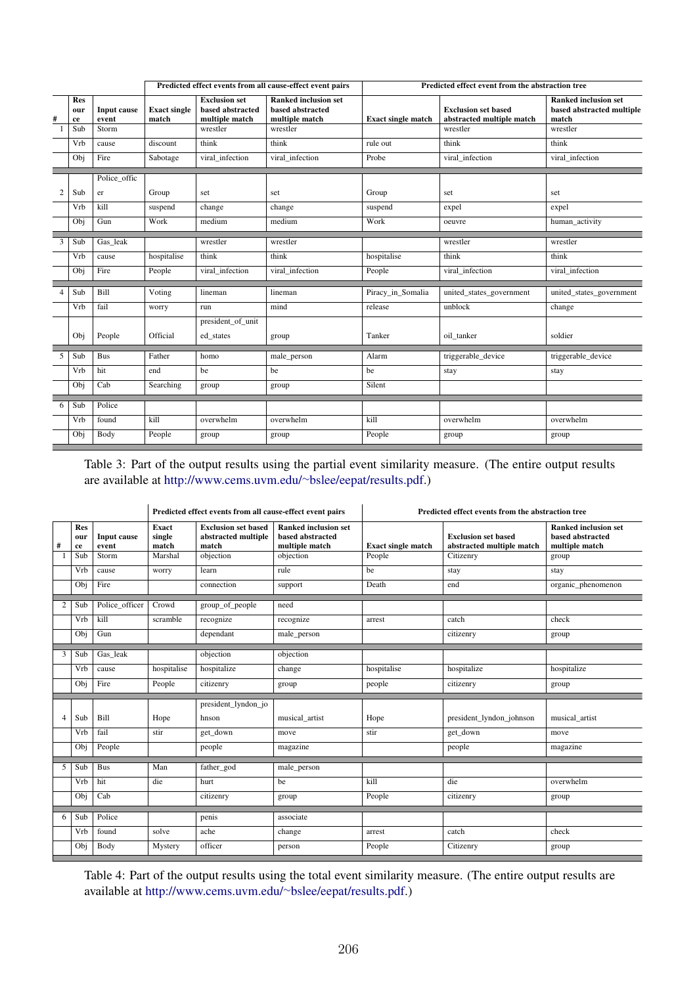|              |                         | Predicted effect events from all cause-effect event pairs |                              |                                                            | Predicted effect event from the abstraction tree                  |                           |                                                         |                                                                   |
|--------------|-------------------------|-----------------------------------------------------------|------------------------------|------------------------------------------------------------|-------------------------------------------------------------------|---------------------------|---------------------------------------------------------|-------------------------------------------------------------------|
| #            | <b>Res</b><br>our<br>ce | Input cause<br>event                                      | <b>Exact single</b><br>match | <b>Exclusion set</b><br>based abstracted<br>multiple match | <b>Ranked inclusion set</b><br>based abstracted<br>multiple match | <b>Exact single match</b> | <b>Exclusion set based</b><br>abstracted multiple match | <b>Ranked inclusion set</b><br>based abstracted multiple<br>match |
| $\mathbf{1}$ | Sub                     | Storm                                                     |                              | wrestler                                                   | wrestler                                                          |                           | wrestler                                                | wrestler                                                          |
|              | Vrb                     | cause                                                     | discount                     | think                                                      | think                                                             | rule out                  | think                                                   | think                                                             |
|              | Obj                     | Fire                                                      | Sabotage                     | viral infection                                            | viral infection                                                   | Probe                     | viral infection                                         | viral infection                                                   |
|              |                         | Police offic                                              |                              |                                                            |                                                                   |                           |                                                         |                                                                   |
| $\mathbf{2}$ | Sub                     | er                                                        | Group                        | set                                                        | set                                                               | Group                     | set                                                     | set                                                               |
|              | Vrb                     | kill                                                      | suspend                      | change                                                     | change                                                            | suspend                   | expel                                                   | expel                                                             |
|              | Obj                     | Gun                                                       | Work                         | medium                                                     | medium                                                            | Work                      | oeuvre                                                  | human activity                                                    |
| 3            | Sub                     | Gas leak                                                  |                              | wrestler                                                   | wrestler                                                          |                           | wrestler                                                | wrestler                                                          |
|              | Vrb                     | cause                                                     | hospitalise                  | think                                                      | think                                                             | hospitalise               | think                                                   | think                                                             |
|              | Obj                     | Fire                                                      | People                       | viral infection                                            | viral infection                                                   | People                    | viral infection                                         | viral infection                                                   |
| 4            | Sub                     | Bill                                                      | Voting                       | lineman                                                    | lineman                                                           | Piracy_in_Somalia         | united_states_government                                | united_states_government                                          |
|              | Vrb                     | fail                                                      | worry                        | run                                                        | mind                                                              | release                   | unblock                                                 | change                                                            |
|              |                         |                                                           |                              | president_of_unit                                          |                                                                   |                           |                                                         |                                                                   |
|              | Obj                     | People                                                    | Official                     | ed states                                                  | group                                                             | Tanker                    | oil tanker                                              | soldier                                                           |
| 5            | Sub                     | <b>Bus</b>                                                | Father                       | homo                                                       | male_person                                                       | Alarm                     | triggerable_device                                      | triggerable_device                                                |
|              | Vrb                     | hit                                                       | end                          | be                                                         | be                                                                | be                        | stay                                                    | stay                                                              |
|              | Obj                     | Cab                                                       | Searching                    | group                                                      | group                                                             | Silent                    |                                                         |                                                                   |
|              |                         |                                                           |                              |                                                            |                                                                   |                           |                                                         |                                                                   |
| 6            | Sub                     | Police                                                    |                              |                                                            |                                                                   |                           |                                                         |                                                                   |
|              | Vrb                     | found                                                     | kill                         | overwhelm                                                  | overwhelm                                                         | kill                      | overwhelm                                               | overwhelm                                                         |
|              | Obj                     | Body                                                      | People                       | group                                                      | group                                                             | People                    | group                                                   | group                                                             |

Table 3: Part of the output results using the partial event similarity measure. (The entire output results are available at http://www.cems.uvm.edu/~bslee/eepat/results.pdf.)

|                |                  |                      | Predicted effect events from all cause-effect event pairs |                                                            | Predicted effect events from the abstraction tree                 |                           |                                                         |                                                                   |
|----------------|------------------|----------------------|-----------------------------------------------------------|------------------------------------------------------------|-------------------------------------------------------------------|---------------------------|---------------------------------------------------------|-------------------------------------------------------------------|
| #              | Res<br>our<br>ce | Input cause<br>event | Exact<br>single<br>match                                  | <b>Exclusion set based</b><br>abstracted multiple<br>match | <b>Ranked inclusion set</b><br>based abstracted<br>multiple match | <b>Exact single match</b> | <b>Exclusion set based</b><br>abstracted multiple match | <b>Ranked inclusion set</b><br>based abstracted<br>multiple match |
|                | Sub              | Storm                | Marshal                                                   | objection                                                  | objection                                                         | People                    | Citizenry                                               | group                                                             |
|                | Vrb              | cause                | worry                                                     | learn                                                      | rule                                                              | be                        | stay                                                    | stay                                                              |
|                | Obj              | Fire                 |                                                           | connection                                                 | support                                                           | Death                     | end                                                     | organic_phenomenon                                                |
|                |                  |                      |                                                           |                                                            |                                                                   |                           |                                                         |                                                                   |
| $\overline{2}$ | Sub              | Police_officer       | Crowd                                                     | group_of_people                                            | need                                                              |                           |                                                         |                                                                   |
|                | Vrb              | kill                 | scramble                                                  | recognize                                                  | recognize                                                         | arrest                    | catch                                                   | check                                                             |
|                | Obj              | Gun                  |                                                           | dependant                                                  | male_person                                                       |                           | citizenry                                               | group                                                             |
| 3              | Sub              | Gas leak             |                                                           | objection                                                  | objection                                                         |                           |                                                         |                                                                   |
|                |                  |                      |                                                           |                                                            |                                                                   |                           |                                                         |                                                                   |
|                | Vrb              | cause                | hospitalise                                               | hospitalize                                                | change                                                            | hospitalise               | hospitalize                                             | hospitalize                                                       |
|                | Obj              | Fire                 | People                                                    | citizenry                                                  | group                                                             | people                    | citizenry                                               | group                                                             |
|                |                  |                      |                                                           | president_lyndon_jo                                        |                                                                   |                           |                                                         |                                                                   |
| $\overline{4}$ | Sub              | <b>Bill</b>          | Hope                                                      | hnson                                                      | musical artist                                                    | Hope                      | president_lyndon_johnson                                | musical artist                                                    |
|                | Vrb              | fail                 | stir                                                      | get down                                                   | move                                                              | stir                      | get_down                                                | move                                                              |
|                | Obj              | People               |                                                           | people                                                     | magazine                                                          |                           | people                                                  | magazine                                                          |
|                |                  |                      |                                                           |                                                            |                                                                   |                           |                                                         |                                                                   |
| 5              | Sub              | <b>Bus</b>           | Man                                                       | father_god                                                 | male_person                                                       |                           |                                                         |                                                                   |
|                | Vrb              | hit                  | die                                                       | hurt                                                       | be                                                                | kill                      | die                                                     | overwhelm                                                         |
|                | Obj              | Cab                  |                                                           | citizenry                                                  | group                                                             | People                    | citizenry                                               | group                                                             |
| 6              | Sub              | Police               |                                                           |                                                            | associate                                                         |                           |                                                         |                                                                   |
|                |                  |                      |                                                           | penis                                                      |                                                                   |                           |                                                         |                                                                   |
|                | Vrb              | found                | solve                                                     | ache                                                       | change                                                            | arrest                    | catch                                                   | check                                                             |
|                | Obj              | Body                 | Mystery                                                   | officer                                                    | person                                                            | People                    | Citizenry                                               | group                                                             |

Table 4: Part of the output results using the total event similarity measure. (The entire output results are available at http://www.cems.uvm.edu/~bslee/eepat/results.pdf.)